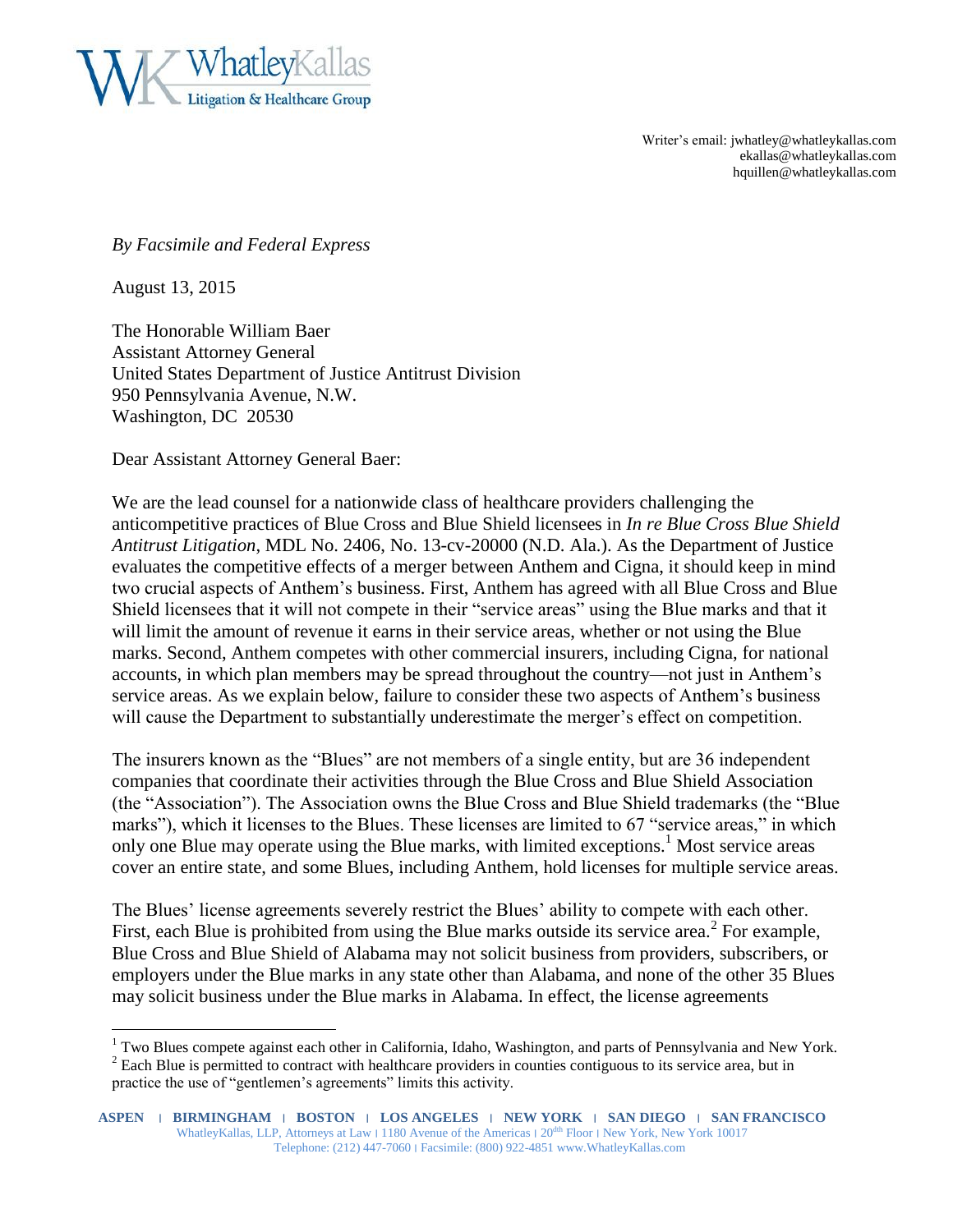

Writer's email: jwhatley@whatleykallas.com ekallas@whatleykallas.com hquillen@whatleykallas.com

*By Facsimile and Federal Express*

August 13, 2015

 $\overline{a}$ 

The Honorable William Baer Assistant Attorney General United States Department of Justice Antitrust Division 950 Pennsylvania Avenue, N.W. Washington, DC 20530

Dear Assistant Attorney General Baer:

We are the lead counsel for a nationwide class of healthcare providers challenging the anticompetitive practices of Blue Cross and Blue Shield licensees in *In re Blue Cross Blue Shield Antitrust Litigation*, MDL No. 2406, No. 13-cv-20000 (N.D. Ala.). As the Department of Justice evaluates the competitive effects of a merger between Anthem and Cigna, it should keep in mind two crucial aspects of Anthem's business. First, Anthem has agreed with all Blue Cross and Blue Shield licensees that it will not compete in their "service areas" using the Blue marks and that it will limit the amount of revenue it earns in their service areas, whether or not using the Blue marks. Second, Anthem competes with other commercial insurers, including Cigna, for national accounts, in which plan members may be spread throughout the country—not just in Anthem's service areas. As we explain below, failure to consider these two aspects of Anthem's business will cause the Department to substantially underestimate the merger's effect on competition.

The insurers known as the "Blues" are not members of a single entity, but are 36 independent companies that coordinate their activities through the Blue Cross and Blue Shield Association (the "Association"). The Association owns the Blue Cross and Blue Shield trademarks (the "Blue marks"), which it licenses to the Blues. These licenses are limited to 67 "service areas," in which only one Blue may operate using the Blue marks, with limited exceptions.<sup>1</sup> Most service areas cover an entire state, and some Blues, including Anthem, hold licenses for multiple service areas.

The Blues' license agreements severely restrict the Blues' ability to compete with each other. First, each Blue is prohibited from using the Blue marks outside its service area.<sup>2</sup> For example, Blue Cross and Blue Shield of Alabama may not solicit business from providers, subscribers, or employers under the Blue marks in any state other than Alabama, and none of the other 35 Blues may solicit business under the Blue marks in Alabama. In effect, the license agreements

<sup>&</sup>lt;sup>1</sup> Two Blues compete against each other in California, Idaho, Washington, and parts of Pennsylvania and New York.

<sup>&</sup>lt;sup>2</sup> Each Blue is permitted to contract with healthcare providers in counties contiguous to its service area, but in practice the use of "gentlemen's agreements" limits this activity.

**ASPEN** ׀ **BIRMINGHAM** ׀ **BOSTON** ׀ **LOS ANGELES** ׀ **NEW YORK** ׀ **SAN DIEGO** ׀ **SAN FRANCISCO** WhatleyKallas, LLP, Attorneys at Law | 1180 Avenue of the Americas | 20<sup>dth</sup> Floor | New York, New York 10017 Telephone: (212) 447-7060 ׀ Facsimile: (800) 922-4851 www.WhatleyKallas.com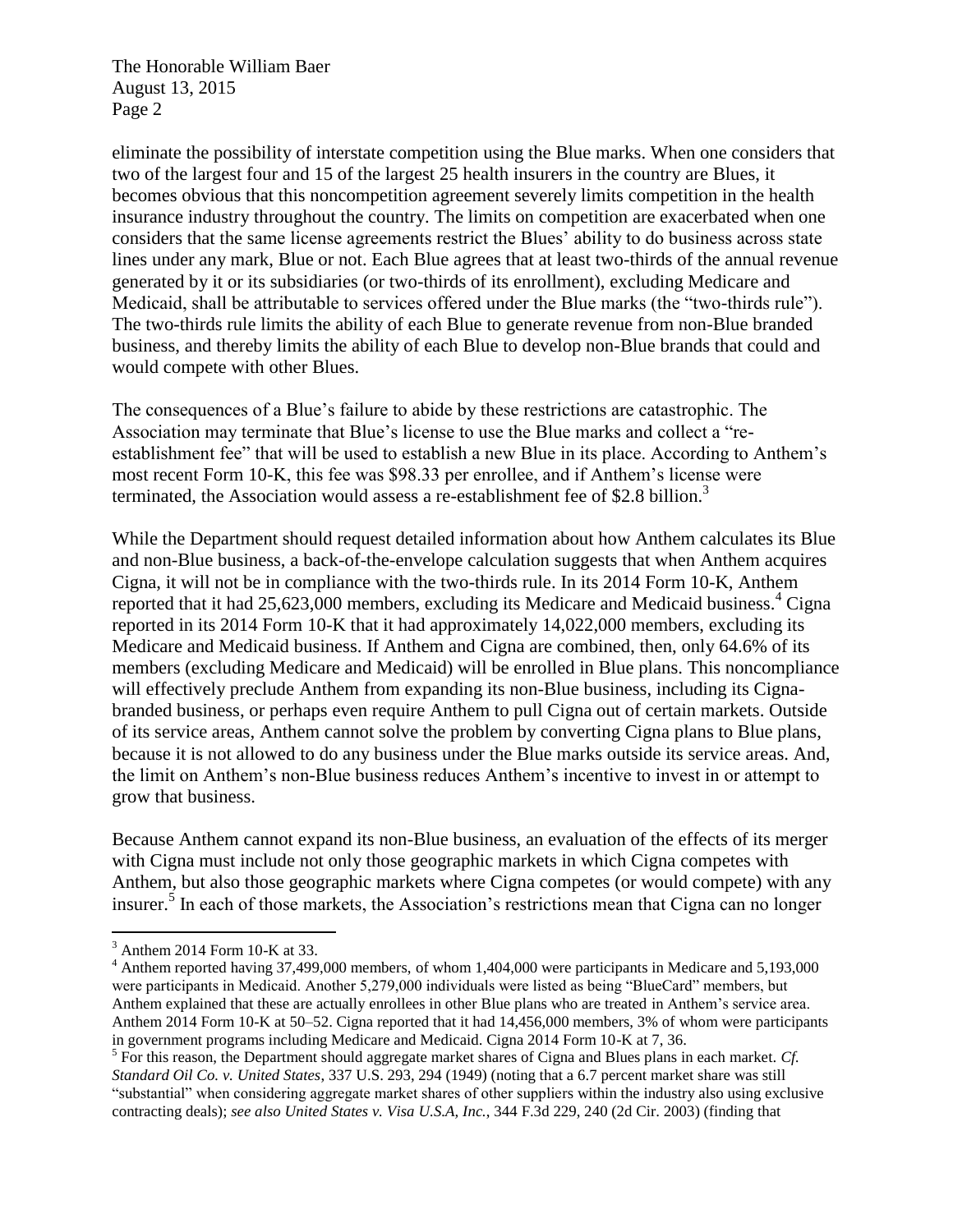The Honorable William Baer August 13, 2015 Page 2

eliminate the possibility of interstate competition using the Blue marks. When one considers that two of the largest four and 15 of the largest 25 health insurers in the country are Blues, it becomes obvious that this noncompetition agreement severely limits competition in the health insurance industry throughout the country. The limits on competition are exacerbated when one considers that the same license agreements restrict the Blues' ability to do business across state lines under any mark, Blue or not. Each Blue agrees that at least two-thirds of the annual revenue generated by it or its subsidiaries (or two-thirds of its enrollment), excluding Medicare and Medicaid, shall be attributable to services offered under the Blue marks (the "two-thirds rule"). The two-thirds rule limits the ability of each Blue to generate revenue from non-Blue branded business, and thereby limits the ability of each Blue to develop non-Blue brands that could and would compete with other Blues.

The consequences of a Blue's failure to abide by these restrictions are catastrophic. The Association may terminate that Blue's license to use the Blue marks and collect a "reestablishment fee" that will be used to establish a new Blue in its place. According to Anthem's most recent Form 10-K, this fee was \$98.33 per enrollee, and if Anthem's license were terminated, the Association would assess a re-establishment fee of \$2.8 billion.<sup>3</sup>

While the Department should request detailed information about how Anthem calculates its Blue and non-Blue business, a back-of-the-envelope calculation suggests that when Anthem acquires Cigna, it will not be in compliance with the two-thirds rule. In its 2014 Form 10-K, Anthem reported that it had  $25{,}623{,}000$  members, excluding its Medicare and Medicaid business.<sup>4</sup> Cigna reported in its 2014 Form 10-K that it had approximately 14,022,000 members, excluding its Medicare and Medicaid business. If Anthem and Cigna are combined, then, only 64.6% of its members (excluding Medicare and Medicaid) will be enrolled in Blue plans. This noncompliance will effectively preclude Anthem from expanding its non-Blue business, including its Cignabranded business, or perhaps even require Anthem to pull Cigna out of certain markets. Outside of its service areas, Anthem cannot solve the problem by converting Cigna plans to Blue plans, because it is not allowed to do any business under the Blue marks outside its service areas. And, the limit on Anthem's non-Blue business reduces Anthem's incentive to invest in or attempt to grow that business.

Because Anthem cannot expand its non-Blue business, an evaluation of the effects of its merger with Cigna must include not only those geographic markets in which Cigna competes with Anthem, but also those geographic markets where Cigna competes (or would compete) with any insurer.<sup>5</sup> In each of those markets, the Association's restrictions mean that Cigna can no longer

 $\overline{a}$ <sup>3</sup> Anthem 2014 Form 10-K at 33.

<sup>&</sup>lt;sup>4</sup> Anthem reported having 37,499,000 members, of whom 1,404,000 were participants in Medicare and 5,193,000 were participants in Medicaid. Another 5,279,000 individuals were listed as being "BlueCard" members, but Anthem explained that these are actually enrollees in other Blue plans who are treated in Anthem's service area. Anthem 2014 Form 10-K at 50–52. Cigna reported that it had 14,456,000 members, 3% of whom were participants in government programs including Medicare and Medicaid. Cigna 2014 Form 10-K at 7, 36.

<sup>&</sup>lt;sup>5</sup> For this reason, the Department should aggregate market shares of Cigna and Blues plans in each market. *Cf. Standard Oil Co. v. United States*, 337 U.S. 293, 294 (1949) (noting that a 6.7 percent market share was still "substantial" when considering aggregate market shares of other suppliers within the industry also using exclusive contracting deals); *see also United States v. Visa U.S.A, Inc.*, 344 F.3d 229, 240 (2d Cir. 2003) (finding that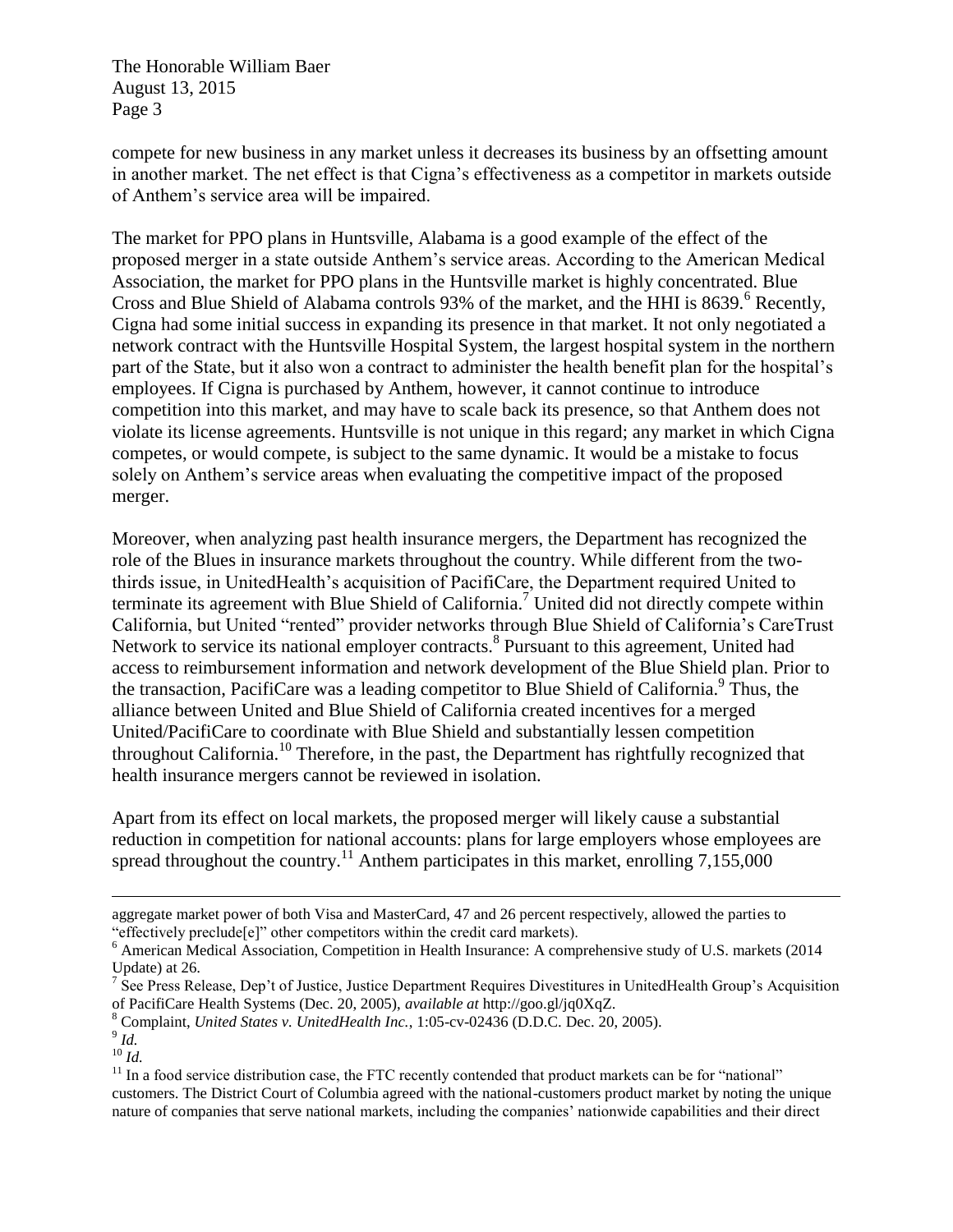The Honorable William Baer August 13, 2015 Page 3

compete for new business in any market unless it decreases its business by an offsetting amount in another market. The net effect is that Cigna's effectiveness as a competitor in markets outside of Anthem's service area will be impaired.

The market for PPO plans in Huntsville, Alabama is a good example of the effect of the proposed merger in a state outside Anthem's service areas. According to the American Medical Association, the market for PPO plans in the Huntsville market is highly concentrated. Blue Cross and Blue Shield of Alabama controls 93% of the market, and the HHI is 8639.<sup>6</sup> Recently, Cigna had some initial success in expanding its presence in that market. It not only negotiated a network contract with the Huntsville Hospital System, the largest hospital system in the northern part of the State, but it also won a contract to administer the health benefit plan for the hospital's employees. If Cigna is purchased by Anthem, however, it cannot continue to introduce competition into this market, and may have to scale back its presence, so that Anthem does not violate its license agreements. Huntsville is not unique in this regard; any market in which Cigna competes, or would compete, is subject to the same dynamic. It would be a mistake to focus solely on Anthem's service areas when evaluating the competitive impact of the proposed merger.

Moreover, when analyzing past health insurance mergers, the Department has recognized the role of the Blues in insurance markets throughout the country. While different from the twothirds issue, in UnitedHealth's acquisition of PacifiCare, the Department required United to terminate its agreement with Blue Shield of California.<sup>7</sup> United did not directly compete within California, but United "rented" provider networks through Blue Shield of California's CareTrust Network to service its national employer contracts.<sup>8</sup> Pursuant to this agreement, United had access to reimbursement information and network development of the Blue Shield plan. Prior to the transaction, PacifiCare was a leading competitor to Blue Shield of California.<sup>9</sup> Thus, the alliance between United and Blue Shield of California created incentives for a merged United/PacifiCare to coordinate with Blue Shield and substantially lessen competition throughout California.<sup>10</sup> Therefore, in the past, the Department has rightfully recognized that health insurance mergers cannot be reviewed in isolation.

Apart from its effect on local markets, the proposed merger will likely cause a substantial reduction in competition for national accounts: plans for large employers whose employees are spread throughout the country.<sup>11</sup> Anthem participates in this market, enrolling  $7,155,000$ 

 $\overline{a}$ 

aggregate market power of both Visa and MasterCard, 47 and 26 percent respectively, allowed the parties to "effectively preclude[e]" other competitors within the credit card markets).

<sup>&</sup>lt;sup>6</sup> American Medical Association, Competition in Health Insurance: A comprehensive study of U.S. markets (2014) Update) at 26.

<sup>&</sup>lt;sup>7</sup> See Press Release, Dep't of Justice, Justice Department Requires Divestitures in UnitedHealth Group's Acquisition of PacifiCare Health Systems (Dec. 20, 2005), *available at* http://goo.gl/jq0XqZ.

<sup>8</sup> Complaint, *United States v. UnitedHealth Inc.*, 1:05-cv-02436 (D.D.C. Dec. 20, 2005).

<sup>9</sup> *Id.*   $^{10}$  *Id.* 

<sup>&</sup>lt;sup>11</sup> In a food service distribution case, the FTC recently contended that product markets can be for "national" customers. The District Court of Columbia agreed with the national-customers product market by noting the unique nature of companies that serve national markets, including the companies' nationwide capabilities and their direct